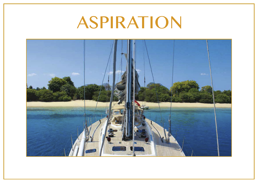# ASPIRATION

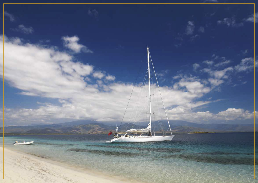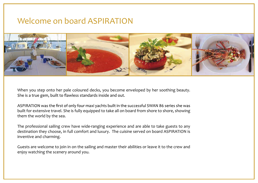### Welcome on board ASPIRATION



When you step onto her pale coloured decks, you become enveloped by her soothing beauty. She is a true gem, built to flawless standards inside and out.

ASPIRATION was the first of only four maxi yachts built in the successful SWAN 86 series she was built for extensive travel. She is fully equipped to take all on board from shore to shore, showing them the world by the sea.

The professional sailing crew have wide-ranging experience and are able to take guests to any destination they choose, in full comfort and luxury. The cuisine served on board ASPIRATION is inventive and charming.

Guests are welcome to join in on the sailing and master their abilities or leave it to the crew and enjoy watching the scenery around you.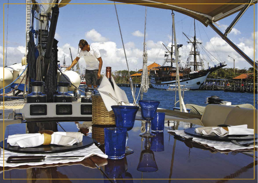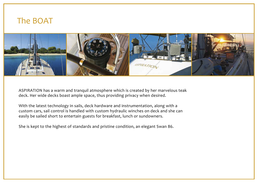### The BOAT



ASPIRATION has a warm and tranquil atmosphere which is created by her marvelous teak deck. Her wide decks boast ample space, thus providing privacy when desired.

With the latest technology in sails, deck hardware and instrumentation, along with a custom cars, sail control is handled with custom hydraulic winches on deck and she can easily be sailed short to entertain guests for breakfast, lunch or sundowners.

She is kept to the highest of standards and pristine condition, an elegant Swan 86.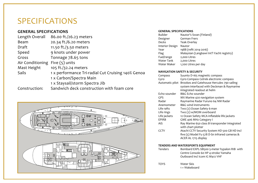### SPECIFICATIONS

#### **GENERAL SPECIFICATIONS**

| Length Overall   | 86.00 ft./26.23 meters                             |
|------------------|----------------------------------------------------|
| <b>Beam</b>      | 20.34 ft./6.20 meters                              |
| Draft            | 11.50 ft./3.50 meters                              |
| Speed            | 9 knots under power                                |
| Gross            | Tonnage 78.65 tons                                 |
| Air Conditioning | Five $(5)$ units                                   |
| Mast Height      | 105 ft./32.24 meters                               |
| Sails            | 1 x performance Tri-radial Cut Cruising 140% Genoa |
|                  | 1 x Carbon/Spectra Main                            |
|                  | 1 x Staysail/storm Spectra Jib                     |
| Construction:    | Sandwich deck construction with foam core          |



#### **GENERAL SPECIFICATIONS**

| <b>Builder</b>  | Nautor's Swan (Finland)                   |
|-----------------|-------------------------------------------|
| Designer        | <b>German Frers</b>                       |
| <b>Decks</b>    | Teak Overlay                              |
| Interior Design | Nautor                                    |
| Year            | 1988 (refit 2014-2016)                    |
| Flag            | Malaysian (Langkawi Int'l Yacht registry) |
| Fuel/range      | 2,000 Litres                              |
| Water Tank      | 2,000 Litres                              |
| Water Maker     | 1,200 Litres per day                      |
|                 |                                           |

#### **NAVIGATION SAFETY & SECURITY**

| Compass                           | Suunto D-165 magnetic compass                                       |  |  |
|-----------------------------------|---------------------------------------------------------------------|--|--|
| Gyro                              | Gyro Compass Cetrek electronic compass                              |  |  |
| Automatic pilot                   | Brookes and Gatehouse Hercules 790 sailing                          |  |  |
|                                   | system interfaced with Deckman & Raymarine                          |  |  |
|                                   | integrated readout at helm                                          |  |  |
| Echo sounder                      | B&G Echo sounder                                                    |  |  |
| GPS                               | MX Marine 420 navigation system                                     |  |  |
| Radar                             | Raymarine Radar Furuno 64 NM Radar                                  |  |  |
| Anemometer                        | <b>B&amp;G</b> wind instruments                                     |  |  |
| Life rafts                        | Two (2) Ocean Safety 6-man                                          |  |  |
| Life rings                        | Two (2) w/MOM overboard                                             |  |  |
| Life jackets                      | 12 Ocean Safety MCA inflatable life jackets                         |  |  |
| EPIRB                             | GME 406 MHz Category I                                              |  |  |
| <b>AIS</b>                        | Ray Marine 650 class B transponder integrated<br>with chart plotter |  |  |
| CCTV                              | Atachi CCTV Security System HD 500 GB HD incl                       |  |  |
|                                   | five (5) Model Fu 578 D-Sn infrared cameras &                       |  |  |
|                                   | ACER AL 1715 display                                                |  |  |
| TENDERS AND WATERSPORTS EQUIPMENT |                                                                     |  |  |
| <b>Tenders</b>                    | Bombard EXPL-SB500 5-meter hypalon RIB with                         |  |  |
|                                   | Centre Console 60 HP 4-stroke Yamaha                                |  |  |

Outboard incl Icom IC-M412 VHF

TOYS Water Skis

1 × Wakeboard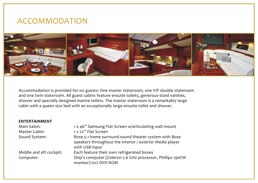### ACCOMMODATION



Accommodation is provided for six guests: One master stateroom, one VIP double stateroom and one twin stateroom. All guest cabins feature ensuite toilets, generous-sized vanities, shower and specially designed marine toilets. The master stateroom is a remarkably large cabin with a queen size bed with an exceptionally large ensuite toilet and shower.

#### **ENTERTAINMENT**

| Main Salon:             | 1 x 46" Samsung Flat Screen w/articulating wall mount                                                             |
|-------------------------|-------------------------------------------------------------------------------------------------------------------|
| Master Cabin:           | 1 x 22" Flat Screen                                                                                               |
| Sound System:           | Bose 5.1 home surround-sound theater system with Bose<br>speakers throughout the interior / exterior Media player |
|                         | with USB input                                                                                                    |
| Middle and aft cockpit: | Each feature their own refrigerated boxes                                                                         |
| Computer:               | Ship's computer (Celeron 2.6 GHz processor, Phillips 190CW<br>monitor) incl DVD-ROM                               |